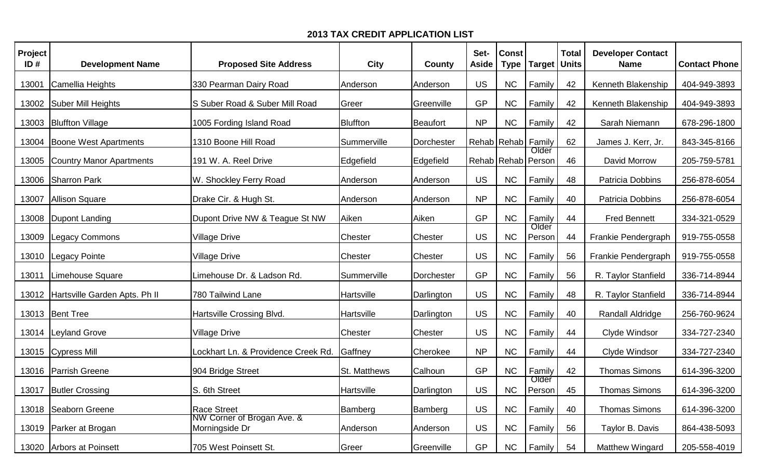| Project<br>ID# | <b>Development Name</b>         | <b>Proposed Site Address</b>                 | <b>City</b>     | County          | Set-<br><b>Aside</b>   | <b>Const</b><br><b>Type</b> | <b>Target</b>               | <b>Total</b><br><b>Units</b> | <b>Developer Contact</b><br><b>Name</b> | <b>Contact Phone</b> |
|----------------|---------------------------------|----------------------------------------------|-----------------|-----------------|------------------------|-----------------------------|-----------------------------|------------------------------|-----------------------------------------|----------------------|
| 13001          | Camellia Heights                | 330 Pearman Dairy Road                       | Anderson        | Anderson        | <b>US</b>              | <b>NC</b>                   | Family                      | 42                           | Kenneth Blakenship                      | 404-949-3893         |
| 13002          | Suber Mill Heights              | S Suber Road & Suber Mill Road               | Greer           | Greenville      | <b>GP</b>              | <b>NC</b>                   | Family                      | 42                           | Kenneth Blakenship                      | 404-949-3893         |
| 13003          | <b>Bluffton Village</b>         | 1005 Fording Island Road                     | <b>Bluffton</b> | <b>Beaufort</b> | <b>NP</b>              | <b>NC</b>                   | Family                      | 42                           | Sarah Niemann                           | 678-296-1800         |
| 13004          | Boone West Apartments           | 1310 Boone Hill Road                         | Summerville     | Dorchester      | Rehab   Rehab   Family |                             |                             | 62                           | James J. Kerr, Jr.                      | 843-345-8166         |
| 13005          | <b>Country Manor Apartments</b> | 191 W. A. Reel Drive                         | Edgefield       | Edgefield       |                        |                             | Older<br>Rehab Rehab Person | 46                           | David Morrow                            | 205-759-5781         |
| 13006          | Sharron Park                    | W. Shockley Ferry Road                       | Anderson        | Anderson        | <b>US</b>              | <b>NC</b>                   | Family                      | 48                           | Patricia Dobbins                        | 256-878-6054         |
| 13007          | Allison Square                  | Drake Cir. & Hugh St.                        | Anderson        | Anderson        | <b>NP</b>              | <b>NC</b>                   | Family                      | 40                           | Patricia Dobbins                        | 256-878-6054         |
| 13008          | Dupont Landing                  | Dupont Drive NW & Teague St NW               | Aiken           | Aiken           | GP                     | NC                          | Family                      | 44                           | <b>Fred Bennett</b>                     | 334-321-0529         |
| 13009          | <b>Legacy Commons</b>           | <b>Village Drive</b>                         | Chester         | Chester         | <b>US</b>              | <b>NC</b>                   | Older<br>Person             | 44                           | Frankie Pendergraph                     | 919-755-0558         |
| 13010          | Legacy Pointe                   | Village Drive                                | Chester         | Chester         | <b>US</b>              | <b>NC</b>                   | Family                      | 56                           | Frankie Pendergraph                     | 919-755-0558         |
| 13011          | Limehouse Square                | Limehouse Dr. & Ladson Rd.                   | Summerville     | Dorchester      | GP                     | <b>NC</b>                   | Family                      | 56                           | R. Taylor Stanfield                     | 336-714-8944         |
| 13012          | Hartsville Garden Apts. Ph II   | 780 Tailwind Lane                            | Hartsville      | Darlington      | <b>US</b>              | <b>NC</b>                   | Family                      | 48                           | R. Taylor Stanfield                     | 336-714-8944         |
|                | 13013   Bent Tree               | Hartsville Crossing Blvd.                    | Hartsville      | Darlington      | US                     | <b>NC</b>                   | Family                      | 40                           | Randall Aldridge                        | 256-760-9624         |
| 13014          | Leyland Grove                   | Village Drive                                | <b>Chester</b>  | Chester         | <b>US</b>              | <b>NC</b>                   | Family                      | 44                           | Clyde Windsor                           | 334-727-2340         |
|                | 13015 Cypress Mill              | Lockhart Ln. & Providence Creek Rd.          | Gaffney         | Cherokee        | <b>NP</b>              | <b>NC</b>                   | Family                      | 44                           | Clyde Windsor                           | 334-727-2340         |
| 13016          | Parrish Greene                  | 904 Bridge Street                            | St. Matthews    | Calhoun         | GP                     | NC                          | Family                      | 42                           | <b>Thomas Simons</b>                    | 614-396-3200         |
|                | 13017 Butler Crossing           | S. 6th Street                                | Hartsville      | Darlington      | <b>US</b>              | NC                          | Older<br>Person             | 45                           | <b>Thomas Simons</b>                    | 614-396-3200         |
|                | 13018   Seaborn Greene          | <b>Race Street</b>                           | Bamberg         | Bamberg         | US                     | <b>NC</b>                   | Family                      | 40                           | <b>Thomas Simons</b>                    | 614-396-3200         |
|                | 13019 Parker at Brogan          | NW Corner of Brogan Ave. &<br>Morningside Dr | Anderson        | Anderson        | <b>US</b>              | <b>NC</b>                   | Family                      | 56                           | Taylor B. Davis                         | 864-438-5093         |
|                | 13020 Arbors at Poinsett        | 705 West Poinsett St.                        | Greer           | Greenville      | <b>GP</b>              | <b>NC</b>                   | Family                      | 54                           | Matthew Wingard                         | 205-558-4019         |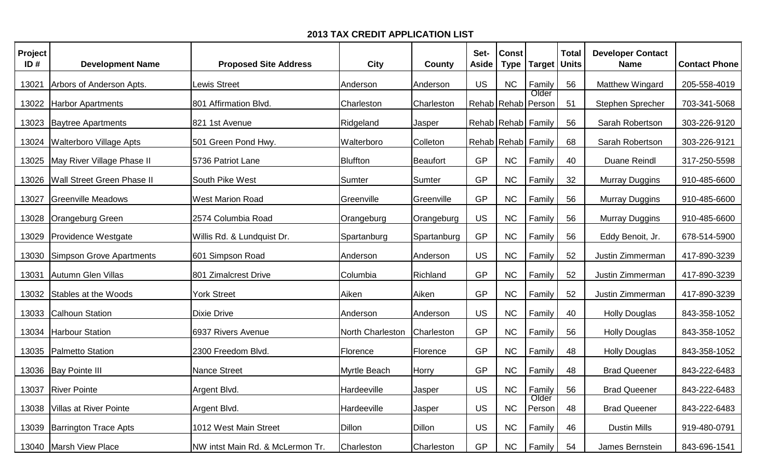| <b>Project</b><br>ID# | <b>Development Name</b>        | <b>Proposed Site Address</b>     | <b>City</b>      | County      | Set-<br><b>Aside</b> | <b>Const</b><br><b>Type</b> | <b>Target</b>               | <b>Total</b><br><b>Units</b> | <b>Developer Contact</b><br><b>Name</b> | <b>Contact Phone</b> |
|-----------------------|--------------------------------|----------------------------------|------------------|-------------|----------------------|-----------------------------|-----------------------------|------------------------------|-----------------------------------------|----------------------|
| 13021                 | Arbors of Anderson Apts.       | Lewis Street                     | Anderson         | Anderson    | <b>US</b>            | <b>NC</b>                   | Family                      | 56                           | Matthew Wingard                         | 205-558-4019         |
| 13022                 | <b>Harbor Apartments</b>       | 801 Affirmation Blvd.            | Charleston       | Charleston  |                      |                             | Older<br>Rehab Rehab Person | 51                           | Stephen Sprecher                        | 703-341-5068         |
|                       | 13023 Baytree Apartments       | 821 1st Avenue                   | Ridgeland        | Jasper      |                      |                             | Rehab Rehab Family          | 56                           | Sarah Robertson                         | 303-226-9120         |
| 13024                 | <b>Walterboro Village Apts</b> | 501 Green Pond Hwy.              | Walterboro       | Colleton    |                      |                             | Rehab Rehab Family          | 68                           | Sarah Robertson                         | 303-226-9121         |
| 13025                 | May River Village Phase II     | 5736 Patriot Lane                | <b>Bluffton</b>  | Beaufort    | GP                   | <b>NC</b>                   | Family                      | 40                           | <b>Duane Reindl</b>                     | 317-250-5598         |
| 13026                 | Wall Street Green Phase II     | South Pike West                  | Sumter           | Sumter      | GP                   | <b>NC</b>                   | Family                      | 32                           | <b>Murray Duggins</b>                   | 910-485-6600         |
| 13027                 | Greenville Meadows             | <b>West Marion Road</b>          | Greenville       | Greenville  | GP                   | <b>NC</b>                   | Family                      | 56                           | <b>Murray Duggins</b>                   | 910-485-6600         |
| 13028                 | Orangeburg Green               | 2574 Columbia Road               | Orangeburg       | Orangeburg  | US                   | <b>NC</b>                   | Family                      | 56                           | <b>Murray Duggins</b>                   | 910-485-6600         |
| 13029                 | <b>Providence Westgate</b>     | Willis Rd. & Lundquist Dr.       | Spartanburg      | Spartanburg | GP                   | NC                          | Family                      | 56                           | Eddy Benoit, Jr.                        | 678-514-5900         |
| 13030                 | Simpson Grove Apartments       | 601 Simpson Road                 | Anderson         | Anderson    | US                   | <b>NC</b>                   | Family                      | 52                           | Justin Zimmerman                        | 417-890-3239         |
| 13031                 | Autumn Glen Villas             | 801 Zimalcrest Drive             | Columbia         | Richland    | GP                   | <b>NC</b>                   | Family                      | 52                           | Justin Zimmerman                        | 417-890-3239         |
| 13032                 | Stables at the Woods           | <b>York Street</b>               | Aiken            | Aiken       | GP                   | <b>NC</b>                   | Family                      | 52                           | Justin Zimmerman                        | 417-890-3239         |
| 13033                 | <b>Calhoun Station</b>         | Dixie Drive                      | Anderson         | Anderson    | US                   | <b>NC</b>                   | Family                      | 40                           | <b>Holly Douglas</b>                    | 843-358-1052         |
| 13034                 | <b>Harbour Station</b>         | 6937 Rivers Avenue               | North Charleston | Charleston  | GP                   | <b>NC</b>                   | Family                      | 56                           | <b>Holly Douglas</b>                    | 843-358-1052         |
| 13035                 | Palmetto Station               | 2300 Freedom Blvd.               | Florence         | Florence    | GP                   | <b>NC</b>                   | Family                      | 48                           | <b>Holly Douglas</b>                    | 843-358-1052         |
|                       | 13036   Bay Pointe III         | <b>Nance Street</b>              | Myrtle Beach     | Horry       | <b>GP</b>            | <b>NC</b>                   | Family                      | 48                           | <b>Brad Queener</b>                     | 843-222-6483         |
|                       | 13037   River Pointe           | Argent Blvd.                     | Hardeeville      | Jasper      | <b>US</b>            | <b>NC</b>                   | Family                      | 56                           | <b>Brad Queener</b>                     | 843-222-6483         |
| 13038                 | Villas at River Pointe         | Argent Blvd.                     | Hardeeville      | Jasper      | <b>US</b>            | <b>NC</b>                   | Older<br>Person             | 48                           | <b>Brad Queener</b>                     | 843-222-6483         |
|                       | 13039 Barrington Trace Apts    | 1012 West Main Street            | <b>Dillon</b>    | Dillon      | <b>US</b>            | <b>NC</b>                   | Family                      | 46                           | <b>Dustin Mills</b>                     | 919-480-0791         |
|                       | 13040 Marsh View Place         | NW intst Main Rd. & McLermon Tr. | Charleston       | Charleston  | <b>GP</b>            | <b>NC</b>                   | Family                      | 54                           | James Bernstein                         | 843-696-1541         |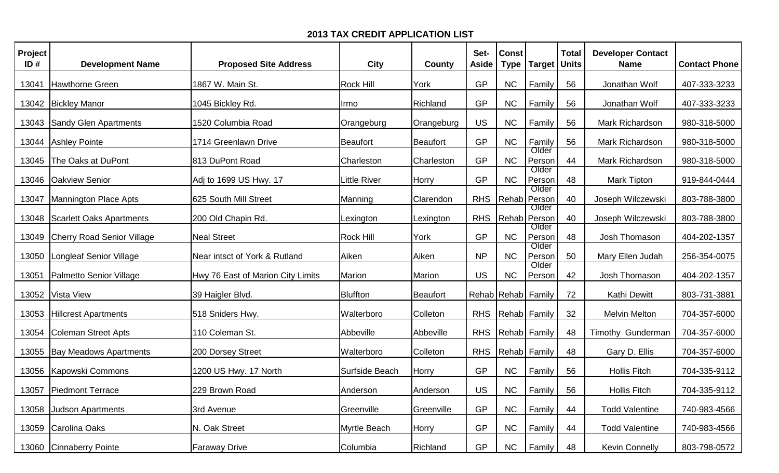| Project<br>ID# | <b>Development Name</b>           | <b>Proposed Site Address</b>      | <b>City</b>         | County          | Set-<br><b>Aside</b> | <b>Const</b><br><b>Type</b> | <b>Target</b>       | <b>Total</b><br><b>Units</b> | <b>Developer Contact</b><br><b>Name</b> | <b>Contact Phone</b> |
|----------------|-----------------------------------|-----------------------------------|---------------------|-----------------|----------------------|-----------------------------|---------------------|------------------------------|-----------------------------------------|----------------------|
| 13041          | Hawthorne Green                   | 1867 W. Main St.                  | Rock Hill           | York            | <b>GP</b>            | <b>NC</b>                   | Family              | 56                           | Jonathan Wolf                           | 407-333-3233         |
| 13042          | <b>Bickley Manor</b>              | 1045 Bickley Rd.                  | Irmo                | Richland        | <b>GP</b>            | <b>NC</b>                   | Family              | 56                           | Jonathan Wolf                           | 407-333-3233         |
| 13043          | <b>Sandy Glen Apartments</b>      | 1520 Columbia Road                | Orangeburg          | Orangeburg      | US                   | <b>NC</b>                   | Family              | 56                           | Mark Richardson                         | 980-318-5000         |
| 13044          | Ashley Pointe                     | 1714 Greenlawn Drive              | Beaufort            | <b>Beaufort</b> | <b>GP</b>            | <b>NC</b>                   | Family<br>Older     | 56                           | Mark Richardson                         | 980-318-5000         |
| 13045          | The Oaks at DuPont                | 813 DuPont Road                   | Charleston          | Charleston      | <b>GP</b>            | NC                          | Person<br>Older     | 44                           | Mark Richardson                         | 980-318-5000         |
| 13046          | <b>Oakview Senior</b>             | Adj to 1699 US Hwy. 17            | <b>Little River</b> | Horry           | <b>GP</b>            | NC                          | Person<br>Older     | 48                           | <b>Mark Tipton</b>                      | 919-844-0444         |
| 13047          | Mannington Place Apts             | 625 South Mill Street             | Manning             | Clarendon       | <b>RHS</b>           | Rehab                       | Person<br>Older     | 40                           | Joseph Wilczewski                       | 803-788-3800         |
| 13048          | <b>Scarlett Oaks Apartments</b>   | 200 Old Chapin Rd.                | Lexington           | Lexington       | <b>RHS</b>           | Rehab                       | Person<br>Older     | 40                           | Joseph Wilczewski                       | 803-788-3800         |
| 13049          | <b>Cherry Road Senior Village</b> | <b>Neal Street</b>                | Rock Hill           | York            | <b>GP</b>            | NC                          | Person              | 48                           | Josh Thomason                           | 404-202-1357         |
| 13050          | <b>Longleaf Senior Village</b>    | Near intsct of York & Rutland     | Aiken               | Aiken           | <b>NP</b>            | NC                          | Older<br>Person     | 50                           | Mary Ellen Judah                        | 256-354-0075         |
| 13051          | Palmetto Senior Village           | Hwy 76 East of Marion City Limits | Marion              | Marion          | <b>US</b>            | <b>NC</b>                   | Older<br>Person     | 42                           | Josh Thomason                           | 404-202-1357         |
| 13052          | <b>Vista View</b>                 | 39 Haigler Blvd.                  | Bluffton            | <b>Beaufort</b> |                      |                             | Rehab Rehab Family  | 72                           | <b>Kathi Dewitt</b>                     | 803-731-3881         |
| 13053          | <b>Hillcrest Apartments</b>       | 518 Sniders Hwy.                  | Walterboro          | Colleton        | <b>RHS</b>           |                             | Rehab Family        | 32                           | <b>Melvin Melton</b>                    | 704-357-6000         |
| 13054          | Coleman Street Apts               | 110 Coleman St.                   | Abbeville           | Abbeville       | <b>RHS</b>           |                             | <b>Rehab</b> Family | 48                           | Timothy Gunderman                       | 704-357-6000         |
| 13055          | <b>Bay Meadows Apartments</b>     | 200 Dorsey Street                 | Walterboro          | Colleton        | <b>RHS</b>           |                             | Rehab Family        | 48                           | Gary D. Ellis                           | 704-357-6000         |
| 13056          | Kapowski Commons                  | 1200 US Hwy. 17 North             | Surfside Beach      | Horry           | <b>GP</b>            | NC                          | Family              | 56                           | <b>Hollis Fitch</b>                     | 704-335-9112         |
|                | 13057 Piedmont Terrace            | 229 Brown Road                    | Anderson            | Anderson        | US                   | NC                          | Family              | 56                           | <b>Hollis Fitch</b>                     | 704-335-9112         |
| 13058          | <b>Judson Apartments</b>          | 3rd Avenue                        | Greenville          | Greenville      | <b>GP</b>            | NC                          | Family              | 44                           | <b>Todd Valentine</b>                   | 740-983-4566         |
|                | 13059 Carolina Oaks               | N. Oak Street                     | Myrtle Beach        | Horry           | GP                   | NC                          | Family              | 44                           | <b>Todd Valentine</b>                   | 740-983-4566         |
|                | 13060 Cinnaberry Pointe           | <b>Faraway Drive</b>              | Columbia            | Richland        | <b>GP</b>            | NC                          | Family              | 48                           | <b>Kevin Connelly</b>                   | 803-798-0572         |